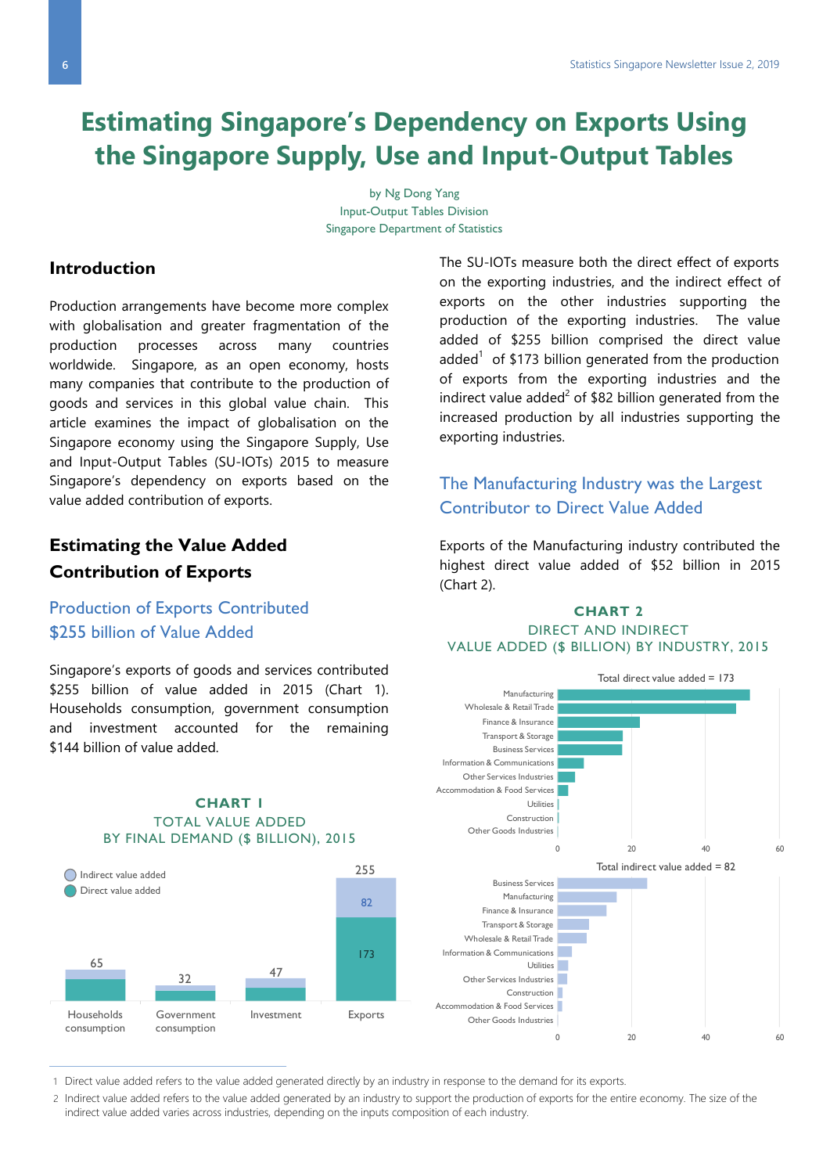# **Estimating Singapore's Dependency on Exports Using the Singapore Supply, Use and Input-Output Tables**

by Ng Dong Yang Input-Output Tables Division Singapore Department of Statistics

### **Introduction**

Production arrangements have become more complex with globalisation and greater fragmentation of the production processes across many countries worldwide. Singapore, as an open economy, hosts many companies that contribute to the production of goods and services in this global value chain. This article examines the impact of globalisation on the Singapore economy using the Singapore Supply, Use and Input-Output Tables (SU-IOTs) 2015 to measure Singapore's dependency on exports based on the value added contribution of exports.

# **Estimating the Value Added Contribution of Exports**

### Production of Exports Contributed \$255 billion of Value Added

Singapore's exports of goods and services contributed \$255 billion of value added in 2015 (Chart 1). Households consumption, government consumption and investment accounted for the remaining \$144 billion of value added.

65 32 47 255 Households consumption Government consumption Investment Exports  $82$ 173 Indirect value added Direct value added

#### **CHART 1** TOTAL VALUE ADDED BY FINAL DEMAND (\$ BILLION), 2015

The SU-IOTs measure both the direct effect of exports on the exporting industries, and the indirect effect of exports on the other industries supporting the production of the exporting industries. The value added of \$255 billion comprised the direct value added<sup>1</sup> of \$173 billion generated from the production of exports from the exporting industries and the indirect value added<sup>2</sup> of \$82 billion generated from the increased production by all industries supporting the exporting industries.

## The Manufacturing Industry was the Largest Contributor to Direct Value Added

Exports of the Manufacturing industry contributed the highest direct value added of \$52 billion in 2015 (Chart 2).

#### **CHART 2** DIRECT AND INDIRECT VALUE ADDED (\$ BILLION) BY INDUSTRY, 2015



1 Direct value added refers to the value added generated directly by an industry in response to the demand for its exports.

2 Indirect value added refers to the value added generated by an industry to support the production of exports for the entire economy. The size of the indirect value added varies across industries, depending on the inputs composition of each industry.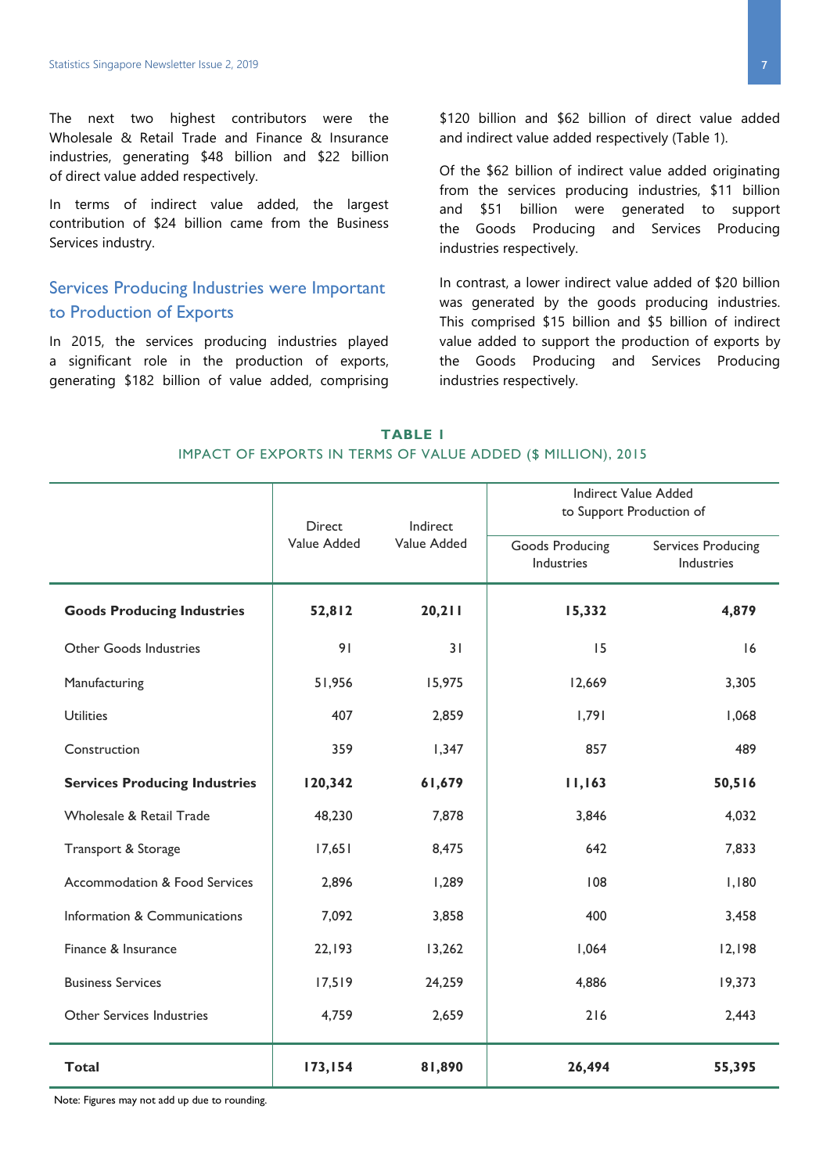The next two highest contributors were the Wholesale & Retail Trade and Finance & Insurance industries, generating \$48 billion and \$22 billion of direct value added respectively.

In terms of indirect value added, the largest contribution of \$24 billion came from the Business Services industry.

### Services Producing Industries were Important to Production of Exports

In 2015, the services producing industries played a significant role in the production of exports, generating \$182 billion of value added, comprising \$120 billion and \$62 billion of direct value added and indirect value added respectively (Table 1).

Of the \$62 billion of indirect value added originating from the services producing industries, \$11 billion and \$51 billion were generated to support the Goods Producing and Services Producing industries respectively.

In contrast, a lower indirect value added of \$20 billion was generated by the goods producing industries. This comprised \$15 billion and \$5 billion of indirect value added to support the production of exports by the Goods Producing and Services Producing industries respectively.

| TABLE I                                                      |  |  |  |  |  |  |
|--------------------------------------------------------------|--|--|--|--|--|--|
| IMPACT OF EXPORTS IN TERMS OF VALUE ADDED (\$ MILLION), 2015 |  |  |  |  |  |  |

|                                          | <b>Direct</b> | Indirect<br>Value Added | <b>Indirect Value Added</b><br>to Support Production of |                                         |
|------------------------------------------|---------------|-------------------------|---------------------------------------------------------|-----------------------------------------|
|                                          | Value Added   |                         | Goods Producing<br>Industries                           | <b>Services Producing</b><br>Industries |
| <b>Goods Producing Industries</b>        | 52,812        | 20,211                  | 15,332                                                  | 4,879                                   |
| Other Goods Industries                   | 91            | 31                      | 15                                                      | 16                                      |
| Manufacturing                            | 51,956        | 15,975                  | 12,669                                                  | 3,305                                   |
| <b>Utilities</b>                         | 407           | 2,859                   | 1,791                                                   | 1,068                                   |
| Construction                             | 359           | 1,347                   | 857                                                     | 489                                     |
| <b>Services Producing Industries</b>     | 120,342       | 61,679                  | 11,163                                                  | 50,516                                  |
| Wholesale & Retail Trade                 | 48,230        | 7,878                   | 3,846                                                   | 4,032                                   |
| Transport & Storage                      | 17,651        | 8,475                   | 642                                                     | 7,833                                   |
| <b>Accommodation &amp; Food Services</b> | 2,896         | 1,289                   | 108                                                     | 1,180                                   |
| Information & Communications             | 7,092         | 3,858                   | 400                                                     | 3,458                                   |
| Finance & Insurance                      | 22,193        | 13,262                  | 1,064                                                   | 12,198                                  |
| <b>Business Services</b>                 | 17,519        | 24,259                  | 4,886                                                   | 19,373                                  |
| Other Services Industries                | 4,759         | 2,659                   | 216                                                     | 2,443                                   |
| <b>Total</b>                             | 173,154       | 81,890                  | 26,494                                                  | 55,395                                  |

Note: Figures may not add up due to rounding.